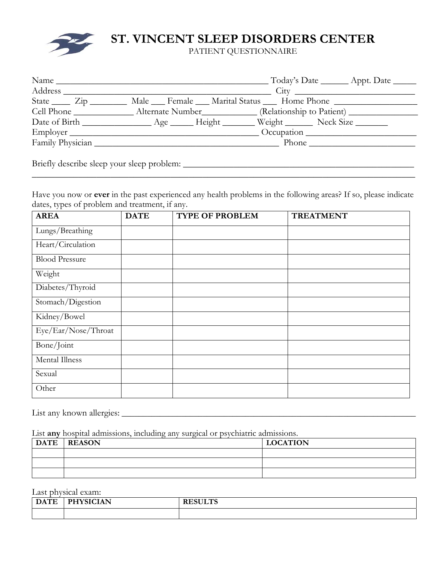

## **ST. VINCENT SLEEP DISORDERS CENTER**

PATIENT QUESTIONNAIRE

|                                      | Name                                                                                    |            | $\Gamma$ Today's Date __________ Appt. Date _______ |
|--------------------------------------|-----------------------------------------------------------------------------------------|------------|-----------------------------------------------------|
| Address                              |                                                                                         |            | City                                                |
| State $\frac{\text{Zip}}{\text{Up}}$ | Male __ Female __ Marital Status __ Home Phone _____________                            |            |                                                     |
|                                      |                                                                                         |            |                                                     |
|                                      | Date of Birth ___________________ Age _______ Height ________ Weight ________ Neck Size |            |                                                     |
| Employer                             |                                                                                         | Occupation |                                                     |
|                                      | Family Physician                                                                        |            |                                                     |
|                                      |                                                                                         |            |                                                     |

Briefly describe sleep your sleep problem: \_\_\_\_\_\_\_\_\_\_\_\_\_\_\_\_\_\_\_\_\_\_\_\_\_\_\_\_\_\_\_\_\_\_\_\_\_\_\_\_\_\_\_\_\_\_\_\_\_\_

Have you now or **ever** in the past experienced any health problems in the following areas? If so, please indicate dates, types of problem and treatment, if any.

| <b>AREA</b>           | <b>DATE</b> | <b>TYPE OF PROBLEM</b> | <b>TREATMENT</b> |
|-----------------------|-------------|------------------------|------------------|
| Lungs/Breathing       |             |                        |                  |
| Heart/Circulation     |             |                        |                  |
| <b>Blood Pressure</b> |             |                        |                  |
| Weight                |             |                        |                  |
| Diabetes/Thyroid      |             |                        |                  |
| Stomach/Digestion     |             |                        |                  |
| Kidney/Bowel          |             |                        |                  |
| Eye/Ear/Nose/Throat   |             |                        |                  |
| Bone/Joint            |             |                        |                  |
| Mental Illness        |             |                        |                  |
| Sexual                |             |                        |                  |
| Other                 |             |                        |                  |

List any known allergies: \_\_\_\_\_\_\_\_\_\_\_\_\_\_\_\_\_\_\_\_\_\_\_\_\_\_\_\_\_\_\_\_\_\_\_\_\_\_\_\_\_\_\_\_\_\_\_\_\_\_\_\_\_\_\_\_\_\_\_\_\_\_\_\_\_\_\_\_\_

List **any** hospital admissions, including any surgical or psychiatric admissions.

| DATE   REASON | <b>LOCATION</b> |
|---------------|-----------------|
|               |                 |
|               |                 |
|               |                 |

Last physical exam:

| $\overline{ }$ DATE<br>л | <b>PHYSICIAN</b><br>______ | <b>DEALL HO</b> |
|--------------------------|----------------------------|-----------------|
|                          |                            |                 |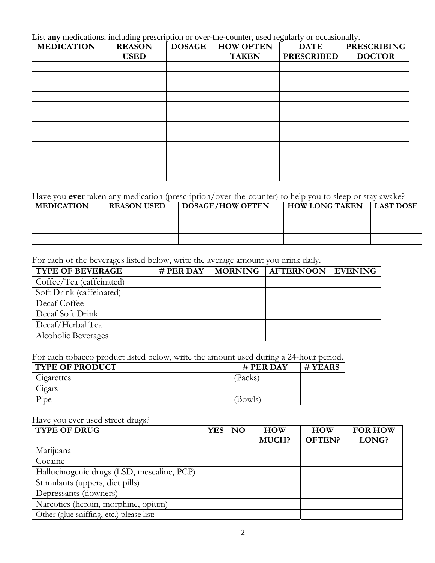List **any** medications, including prescription or over-the-counter, used regularly or occasionally.

| <b>MEDICATION</b> | <b>REASON</b> | <b>DOSAGE</b> | <b>HOW OFTEN</b> | <b>DATE</b>       | <b>PRESCRIBING</b> |
|-------------------|---------------|---------------|------------------|-------------------|--------------------|
|                   | <b>USED</b>   |               | <b>TAKEN</b>     | <b>PRESCRIBED</b> | <b>DOCTOR</b>      |
|                   |               |               |                  |                   |                    |
|                   |               |               |                  |                   |                    |
|                   |               |               |                  |                   |                    |
|                   |               |               |                  |                   |                    |
|                   |               |               |                  |                   |                    |
|                   |               |               |                  |                   |                    |
|                   |               |               |                  |                   |                    |
|                   |               |               |                  |                   |                    |
|                   |               |               |                  |                   |                    |
|                   |               |               |                  |                   |                    |
|                   |               |               |                  |                   |                    |
|                   |               |               |                  |                   |                    |

## Have you **ever** taken any medication (prescription/over-the-counter) to help you to sleep or stay awake?

| <b>MEDICATION</b> | <b>REASON USED</b> | <b>DOSAGE/HOW OFTEN</b> | <b>HOW LONG TAKEN</b> | <b>LAST DOSE</b> |
|-------------------|--------------------|-------------------------|-----------------------|------------------|
|                   |                    |                         |                       |                  |
|                   |                    |                         |                       |                  |
|                   |                    |                         |                       |                  |

For each of the beverages listed below, write the average amount you drink daily.

| <b>TYPE OF BEVERAGE</b>  | # PER DAY   MORNING | <b>AFTERNOON EVENING</b> |  |
|--------------------------|---------------------|--------------------------|--|
| Coffee/Tea (caffeinated) |                     |                          |  |
| Soft Drink (caffeinated) |                     |                          |  |
| Decaf Coffee             |                     |                          |  |
| Decaf Soft Drink         |                     |                          |  |
| Decaf/Herbal Tea         |                     |                          |  |
| Alcoholic Beverages      |                     |                          |  |

For each tobacco product listed below, write the amount used during a 24-hour period.

| <b>TYPE OF PRODUCT</b> | $#$ PER DAY | # YEARS |
|------------------------|-------------|---------|
| Cigarettes             | Packs       |         |
| Cigars                 |             |         |
| Pipe                   | Bowls)      |         |

## Have you ever used street drugs?

| <b>TYPE OF DRUG</b>                        | <b>YES</b> | $\overline{N}$ | <b>HOW</b> | <b>HOW</b>    | <b>FOR HOW</b> |
|--------------------------------------------|------------|----------------|------------|---------------|----------------|
|                                            |            |                | MUCH?      | <b>OFTEN?</b> | LONG?          |
| Marijuana                                  |            |                |            |               |                |
| Cocaine                                    |            |                |            |               |                |
| Hallucinogenic drugs (LSD, mescaline, PCP) |            |                |            |               |                |
| Stimulants (uppers, diet pills)            |            |                |            |               |                |
| Depressants (downers)                      |            |                |            |               |                |
| Narcotics (heroin, morphine, opium)        |            |                |            |               |                |
| Other (glue sniffing, etc.) please list:   |            |                |            |               |                |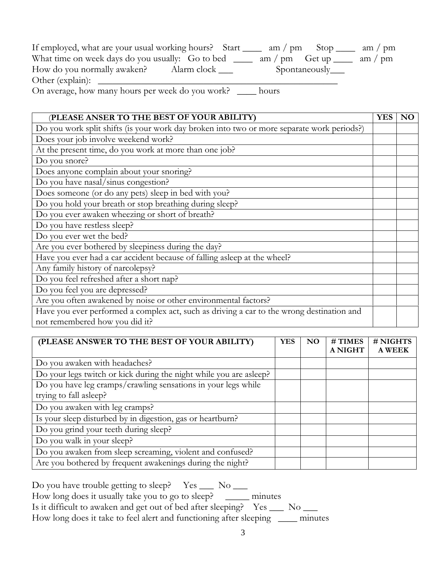| If employed, what are your usual working hours? Start $\frac{1}{\sqrt{2}}$ am / pm Stop $\frac{1}{\sqrt{2}}$ am / pm |                                                |
|----------------------------------------------------------------------------------------------------------------------|------------------------------------------------|
| What time on week days do you usually: Go to bed ______                                                              | am / pm $\left( \text{det up} \right)$ am / pm |
| How do you normally awaken? Alarm clock ____                                                                         | Spontaneously____                              |
|                                                                                                                      |                                                |
| On average, how many hours per week do you work?                                                                     | hours                                          |

 (**PLEASE ANSER TO THE BEST OF YOUR ABILITY) YES NO** Do you work split shifts (is your work day broken into two or more separate work periods?) Does your job involve weekend work? At the present time, do you work at more than one job? Do you snore? Does anyone complain about your snoring? Do you have nasal/sinus congestion? Does someone (or do any pets) sleep in bed with you? Do you hold your breath or stop breathing during sleep? Do you ever awaken wheezing or short of breath? Do you have restless sleep? Do you ever wet the bed? Are you ever bothered by sleepiness during the day? Have you ever had a car accident because of falling asleep at the wheel? Any family history of narcolepsy? Do you feel refreshed after a short nap? Do you feel you are depressed? Are you often awakened by noise or other environmental factors? Have you ever performed a complex act, such as driving a car to the wrong destination and not remembered how you did it?

 **(PLEASE ANSWER TO THE BEST OF YOUR ABILITY) YES NO # TIMES A NIGHT # NIGHTS A WEEK**  Do you awaken with headaches? Do your legs twitch or kick during the night while you are asleep? Do you have leg cramps/crawling sensations in your legs while trying to fall asleep? Do you awaken with leg cramps? Is your sleep disturbed by in digestion, gas or heartburn? Do you grind your teeth during sleep? Do you walk in your sleep? Do you awaken from sleep screaming, violent and confused? Are you bothered by frequent awakenings during the night?

| Do you have trouble getting to sleep? $Yes \_\_ No \_\_$           |                |
|--------------------------------------------------------------------|----------------|
| How long does it usually take you to go to sleep?                  | minutes        |
| Is it difficult to awaken and get out of bed after sleeping? Yes   | N <sub>0</sub> |
| How long does it take to feel alert and functioning after sleeping | minutes        |